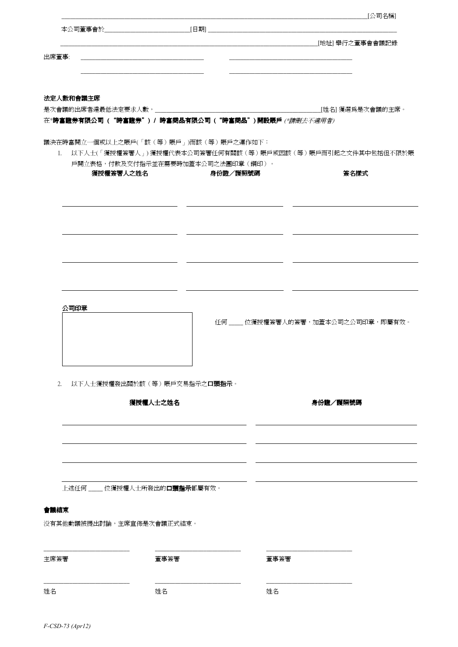| ________________________________[地址] 舉行之董事會會議記錄<br>出席董事:<br>法定人數和會議主席<br>是次會議的出席者達最低法定要求人數,________________<br>____________[姓名] 獲選為是次會議的主席。<br>在*時富證券有限公司("時富證券")/時富商品有限公司("時富商品")開設賬戶(*請刪去不適用者)<br>議決在時富開立一個或以上之賬戶(「該(等)賬戶」)而該(等)賬戶之運作如下:<br>1. 以下人士(「獲授權簽署人」)獲授權代表本公司簽署任何有關該(等)賬戶或因該(等)賬戶而引起之文件其中包括但不限於賬<br>戶開立表格,付款及交付指示並在需要時加蓋本公司之法團印章(鋼印)。<br>獲授權簽署人之姓名<br>身份證/護照號碼<br>簽名樣式 |  |
|----------------------------------------------------------------------------------------------------------------------------------------------------------------------------------------------------------------------------------------------------------------------------------------------------------------------------------------------------------------------------------|--|
|                                                                                                                                                                                                                                                                                                                                                                                  |  |
|                                                                                                                                                                                                                                                                                                                                                                                  |  |
|                                                                                                                                                                                                                                                                                                                                                                                  |  |
|                                                                                                                                                                                                                                                                                                                                                                                  |  |
|                                                                                                                                                                                                                                                                                                                                                                                  |  |
|                                                                                                                                                                                                                                                                                                                                                                                  |  |
|                                                                                                                                                                                                                                                                                                                                                                                  |  |
|                                                                                                                                                                                                                                                                                                                                                                                  |  |
|                                                                                                                                                                                                                                                                                                                                                                                  |  |
|                                                                                                                                                                                                                                                                                                                                                                                  |  |
|                                                                                                                                                                                                                                                                                                                                                                                  |  |
|                                                                                                                                                                                                                                                                                                                                                                                  |  |
|                                                                                                                                                                                                                                                                                                                                                                                  |  |
|                                                                                                                                                                                                                                                                                                                                                                                  |  |
|                                                                                                                                                                                                                                                                                                                                                                                  |  |
| 公司印章<br>任何   位獲授權簽署人的簽署,加蓋本公司之公司印章,即屬有效。                                                                                                                                                                                                                                                                                                                                         |  |
|                                                                                                                                                                                                                                                                                                                                                                                  |  |
|                                                                                                                                                                                                                                                                                                                                                                                  |  |
|                                                                                                                                                                                                                                                                                                                                                                                  |  |
| 以下人士獲授權發出關於該(等)賬戶交易指示之口頭指示。<br>2.                                                                                                                                                                                                                                                                                                                                                |  |
| 獲授權人士之姓名<br>身份證/護照號碼                                                                                                                                                                                                                                                                                                                                                             |  |
|                                                                                                                                                                                                                                                                                                                                                                                  |  |
|                                                                                                                                                                                                                                                                                                                                                                                  |  |
|                                                                                                                                                                                                                                                                                                                                                                                  |  |
|                                                                                                                                                                                                                                                                                                                                                                                  |  |
|                                                                                                                                                                                                                                                                                                                                                                                  |  |
| 上述任何____位獲授權人士所發出的口頭指示都屬有效。                                                                                                                                                                                                                                                                                                                                                      |  |
| 會議結束                                                                                                                                                                                                                                                                                                                                                                             |  |
| 没有其他動議被提出討論,主席宣佈是次會議正式結束。                                                                                                                                                                                                                                                                                                                                                        |  |
|                                                                                                                                                                                                                                                                                                                                                                                  |  |
| 主席簽署<br>董事簽署<br>董事簽署                                                                                                                                                                                                                                                                                                                                                             |  |
|                                                                                                                                                                                                                                                                                                                                                                                  |  |

*F-CSD-73 (Apr12)*